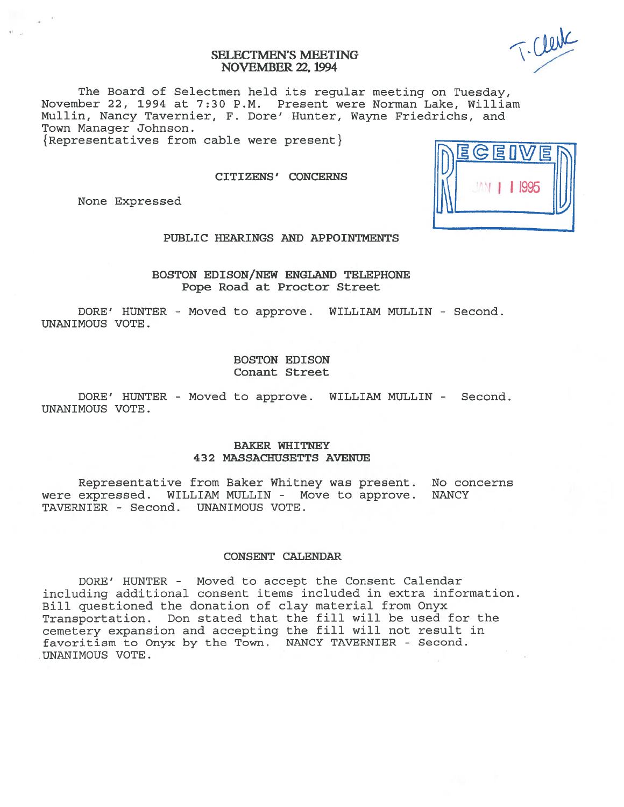# SELECTMEN'S MEETING NOVEMBER 22, 1994

The Board of Selectmen held its regular meeting on Tuesday, November 22, 1994 at 7:30 P.M. Present were Norman Lake, William Mullin, Nancy Tavernier, F. Dore' Hunter, Wayne Friedrichs, and Town Manager Johnson.

 ${Representatives from cable were present}$ 

CITIZENS' CONCERNS

None Expressed

# PUBLIC HEARINGS AND APPOINTMENTS

BOSTON EDISON/NEW ENGLAND TELEPHONE Pope Road at Proctor Street

DORE' HUNTER - Moved to approve. WILLIAM MULLIN - Second. UNANIMOUS VOTE.

> BOSTON EDISON Conant Street

DORE' HUNTER - Moved to approve. WILLIAM MULLIN - Second. UNANIMOUS VOTE.

#### BAKER WHITNEY 432 MASSACHUSETTS AVENUE

Representative from Baker Whitney was present. No concerns were expressed. WILLIAM MULLIN - Move to approve. NANCY TAVERNIER - Second. UNANIMOUS VOTE.

#### CONSENT CALENIJAR

DORE' HUNTER - Moved to accep<sup>t</sup> the Consent Calendar including additional consent items included in extra information. Bill questioned the donation of clay material from Onyx Transportation. Don stated that the fill will be used for the cemetery expansion and accepting the fill will not result in favoritism to Onyx by the Town. NANCY TAVERNIER - Second. UNANIMOUS VOTE.

"i 11995

T-Clerk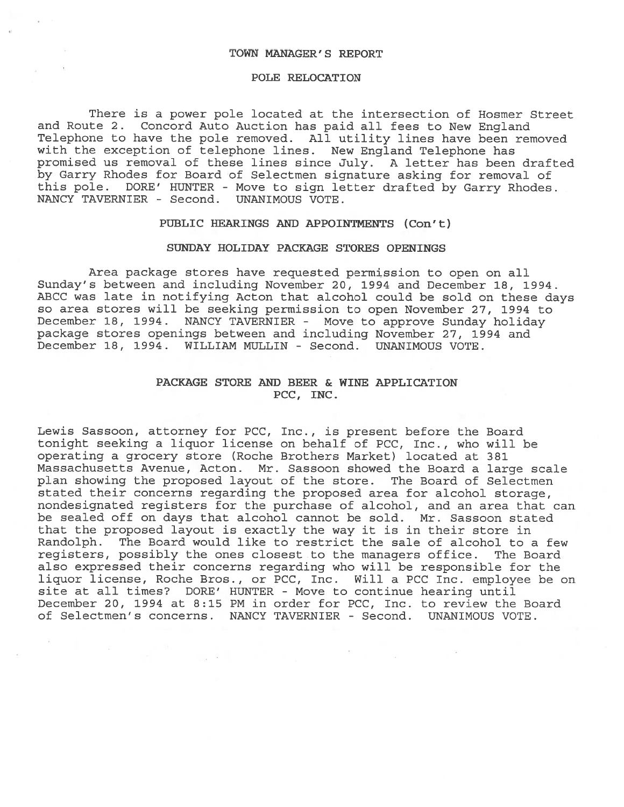#### TOWN MANAGER' S REPORT

#### POLE RELOCATION

There is <sup>a</sup> power pole located at the intersection of Hosmer Street and Route 2. Concord Auto Auction has paid all fees to New England Telephone to have the pole removed. All utility lines have been removed with the exception of telephone lines. New England Telephone has promised us removal of these lines since July. <sup>A</sup> letter has been drafted by Garry Rhodes for Board of Selectmen signature asking for removal of this pole. DORE' HUNTER - Move to sign letter drafted by Garry Rhodes. NANCY TAVERNIER - Second. UNANIMOUS VOTE.

#### PUBLIC HEARINGS AND APPOINTMENTS (Con't)

## SUNDAY HOLIDAY PACKAGE STORES OPENINGS

Area package stores have requested permission to open on all Sunday's between and including November 20, 1994 and December 18, 1994. ABCC was late in notifying Acton that alcohol could be sold on these days so area stores will be seeking permission to open November 27, 1994 to December 18, 1994. NANCY TAVERNIER - Move to approve Sunday holiday package stores openings between and including November 27, 1994 and December 18, 1994. WILLIAM MULLIN - Second. UNANIMOUS VOTE.

## PACKAGE STORE AND BEER & WINE APPLICATION PCC, INC.

Lewis Sassoon, attorney for PCC, Inc., is presen<sup>t</sup> before the Board tonight seeking <sup>a</sup> liquor license on behalf of PCC, Inc., who will be operating <sup>a</sup> grocery store (Roche Brothers Market) located at 381 Massachusetts Avenue, Acton. Mr. Sassoon showed the Board <sup>a</sup> large scale plan showing the proposed layout of the store. The Board of Selectmen stated their concerns regarding the proposed area for alcohol storage, nondesignated registers for the purchase of alcohol, and an area that can be sealed off on days that alcohol cannot be sold. Mr. Sassoon stated that the proposed layout is exactly the way it is in their store in Randolph. The Board would like to restrict the sale of alcohol to <sup>a</sup> few registers, possibly the ones closest to the managers office. The Board also expressed their concerns regarding who will be responsible for the liquor license, Roche Bros., or PCC, Inc. Will <sup>a</sup> PCC Inc. employee be on site at all times? DORE' HUNTER - Move to continue hearing until December 20, 1994 at 8:15 PM in order for PCC, Inc. to review the Board of Selectmen's concerns. NANCY TAVERNIER - Second. UNANIMOUS VOTE.

 $\sim 10^{-12}$ 

 $\label{eq:1.1} \Sigma_{\rm{1.5}} = \frac{1}{100} \left( 1 - \frac{1}{100} \right) \, .$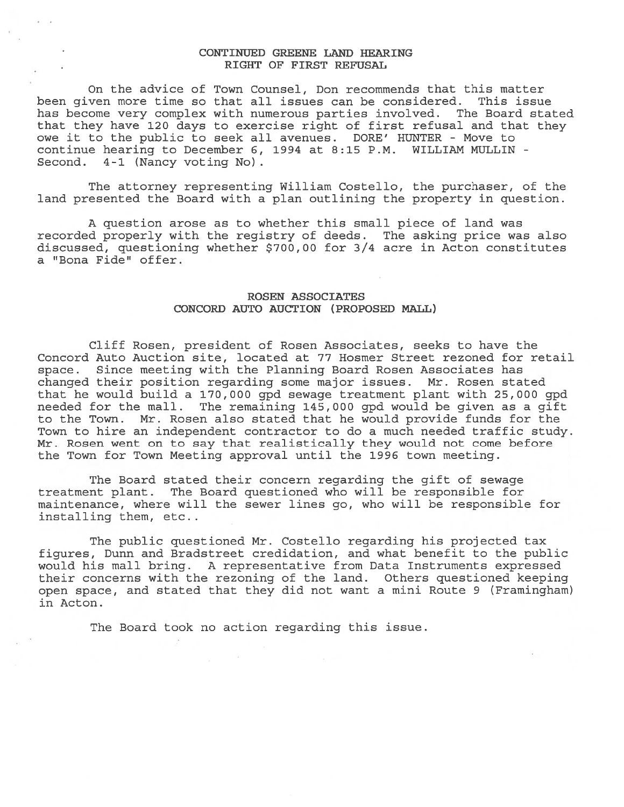## CONTINUED GREENE LAND HEARING RIGHT OF FIRST REFUSAL

On the advice of Town Counsel, Don recommends that this matter been given more time so that all issues can be considered. This issue has become very complex with numerous parties involved. The Board stated that they have 120 days to exercise right of first refusal and that they owe it to the public to seek all avenues. DORE' HUNTER - Move to continue hearing to December 6, 1994 at 8:15 P.M. WILLIAM MULLIN - Second. 4-1 (Nancy voting No).

The attorney representing William Costello, the purchaser, of the land presented the Board with <sup>a</sup> plan outlining the property in question.

A question arose as to whether this small piece of land was recorded properly with the registry of deeds. The asking price was also discussed, questioning whether \$700,00 for 3/4 acre in Acton constitutes a "Bona Fide" offer.

## ROSEN ASSOCIATES CONCORD AUTO AUCTION (PROPOSED MALL)

Cliff Rosen, president of Rosen Associates, seeks to have the Concord Auto Auction site, located at 77 Hosmer Street rezoned for retail space. Since meeting with the Planning Board Rosen Associates has changed their position regarding some major issues. Mr. Rosen stated that he would build <sup>a</sup> 170,000 gpd sewage treatment plant with 25,000 gpd needed for the mall. The remaining 145,000 gpd would be given as <sup>a</sup> gift to the Town. Mr. Rosen also stated that he would provide funds for the Town to hire an independent contractor to do <sup>a</sup> much needed traffic study. Mr. Rosen went on to say that realistically they would not come before the Town for Town Meeting approval until the 1996 town meeting.

The Board stated their concern regarding the gift of sewage treatment plant. The Board questioned who will be responsible for maintenance, where will the sewer lines go, who will be responsible for installing them, etc..

The public questioned Mr. Costello regarding his projected tax figures, Dunn and Bradstreet credidation, and what benefit to the public would his mall bring. A representative from Data Instruments expressed their concerns with the rezoning of the land. Others questioned keeping open space, and stated that they did not want <sup>a</sup> mini Route 9 (Framingham) in Acton.

The Board took no action regarding this issue.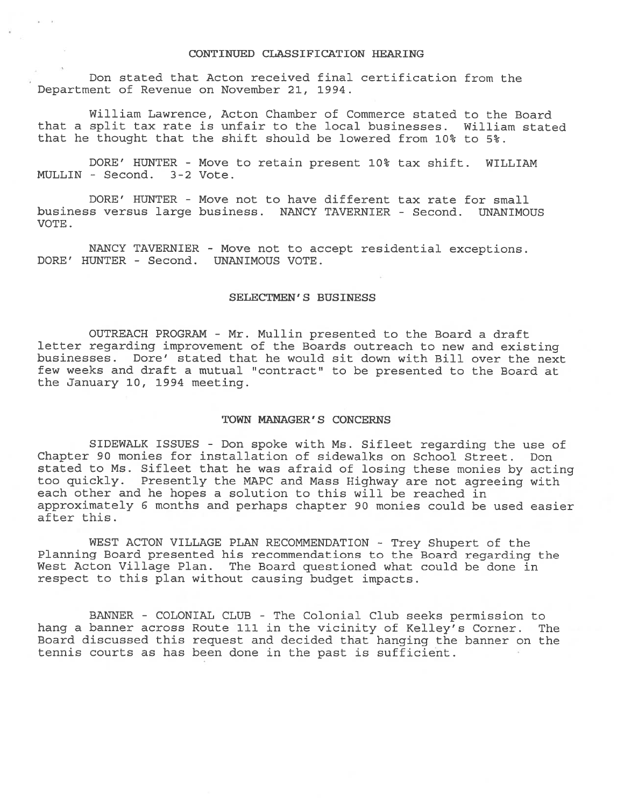#### CONTINUED CLASSIFICATION HEARING

Don stated that Acton received final certification from the Department of Revenue on November 21, 1994.

William Lawrence, Acton Chamber of Commerce stated to the Board that <sup>a</sup> split tax rate is unfair to the local businesses. William stated that he thought that the shift should be lowered from 10% to 5%.

DORE' HUNTER - Move to retain presen<sup>t</sup> 10% tax shift. WILLIAM MULLIN - Second. 3-2 Vote.

DORE' HUNTER - Move not to have different tax rate for small business versus large business. NANCY TAVERNIER - Second. UNANIMOUS VOTE.

NANCY TAVERNIER - Move not to accept residential exceptions. DORE' HUNTER - Second. UNANIMOUS VOTE.

#### SELECTMEN'S BUSINESS

OUTREACH PROGRAM - Mr. Mullin presented to the Board <sup>a</sup> draft letter regarding improvement of the Boards outreach to new and existing businesses. Dore' stated that he would sit down with Bill over the next few weeks and draft a mutual "contract" to be presented to the Board at the January 10, 1994 meeting.

#### TOWN MANAGER'S CONCERNS

SIDEWALK ISSUES - Don spoke with Ms. Sifleet regarding the use of Chapter 90 monies for installation of sidewalks on School Street. Don stated to Ms. Sifleet that he was afraid of losing these monies by acting too quickly. Presently the MAPC and Mass Highway are not agreeing with each other and he hopes <sup>a</sup> solution to this will be reached in approximately 6 months and perhaps chapter 90 monies could be used easier after this.

WEST ACTON VILLAGE PLAN RECOMMENDATION - Trey Shupert of the Planning Board presented his recommendations to the Board regarding the West Acton Village Plan. The Board questioned what could be done in respec<sup>t</sup> to this <sup>p</sup>lan without causing budget impacts.

BANNER - COLONIAL CLUB - The Colonial Club seeks permission to hang <sup>a</sup> banner across Route 111 in the vicinity of Kelley's Corner. The Board discussed this reques<sup>t</sup> and decided that hanging the banner on the tennis courts as has been done in the pas<sup>t</sup> is sufficient.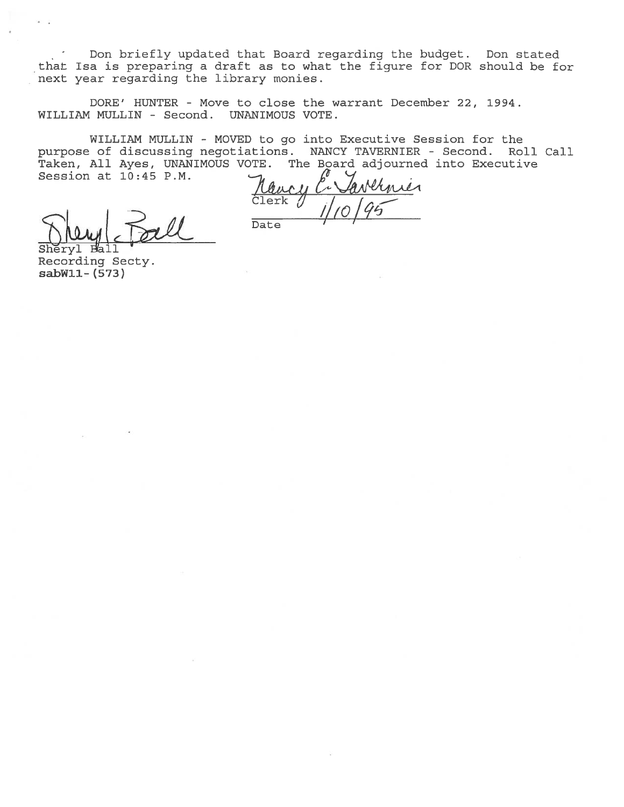Don briefly updated that Board regarding the budget. Don stated that Isa is preparing <sup>a</sup> draft as to what the figure for DOR should be for next year regarding the library monies.

DORE' HUNTER - Move to close the warrant December 22, 1994. WILLIAM MULLIN - Second. UNANIMOUS VOTE.

WILLIAM MULLIN - MOVED to go into Executive Session for the purpose of discussing negotiations. NANCY TAVERNIER - Second. Roll Call Taken, All Ayes, UNANIMOUS VOTE. The Board adjourned into Executive Session at 10:45 P.M. Don briefly updated that Board regarding<br>
that Isa is preparing a draft as to what the fi<br>
next year regarding the library monies.<br>
DORE' HUNTER - Move to close the warrant<br>
WILLIAM MULLIN - Second. UNANIMOUS VOTE.<br>
WILLIA

ernier

Recording Secty. sabWll- (573)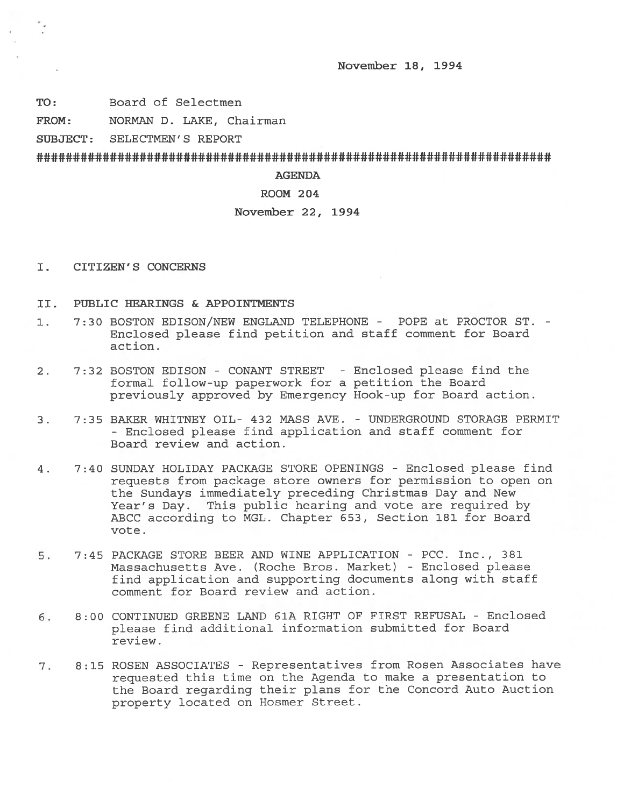November 18, 1994

TO: Board of Selectmen

FROM: NORMAN D. LAKE, Chairman

SUBJECT: SELECTMEN'S REPORT

AGENDA

# ROOM 204

### November 22, 1994

- I. CITIZEN'S CONCERNS
- II. PUBLIC HEARINGS & APPOINTMENTS
- 1. 7:30 BOSTON EDISON/NEW ENGLAND TELEPHONE POPE at PROCTOR ST. Enclosed please find petition and staff comment for Board action.
- 2. 7:32 BOSTON EDISON CONANT STREET -Enclosed please find the formal follow-up paperwork for <sup>a</sup> petition the Board previously approved by Emergency Hook-up for Board action.
- 3. 7:35 BAKER WHITNEY OIL- 432 MASS AVE. UNDERGROUND STORAGE PERMIT - Enclosed please find application and staff comment for Board review and action.
- 4. 7:40 SUNDAY HOLIDAY PACKAGE STORE OPENINGS Enclosed please find requests from package store owners for permission to open on the Sundays immediately preceding Christmas Day and New Year's Day. This public hearing and vote are required by ABCC according to MGL. Chapter 653, Section 181 for Board vote.
- 5. 7:45 PACKAGE STORE BEER AND WINE APPLICATION PCC. Inc., 381 Massachusetts Ave. (Roche Bros. Market) - Enclosed please find application and supporting documents along with staff comment for Board review and action.
- 5. 8:00 CONTINUED GREENE LAND G1A RIGHT OF FIRST REFUSAL -Enclosed <sup>p</sup>lease find additional information submitted for Board review.
- 7. 8:15 ROSEN ASSOCIATES Representatives from Rosen Associates have requested this time on the Agenda to make <sup>a</sup> presentation to the Board regarding their <sup>p</sup>lans for the Concord Auto Auction property located on Hosmer Street.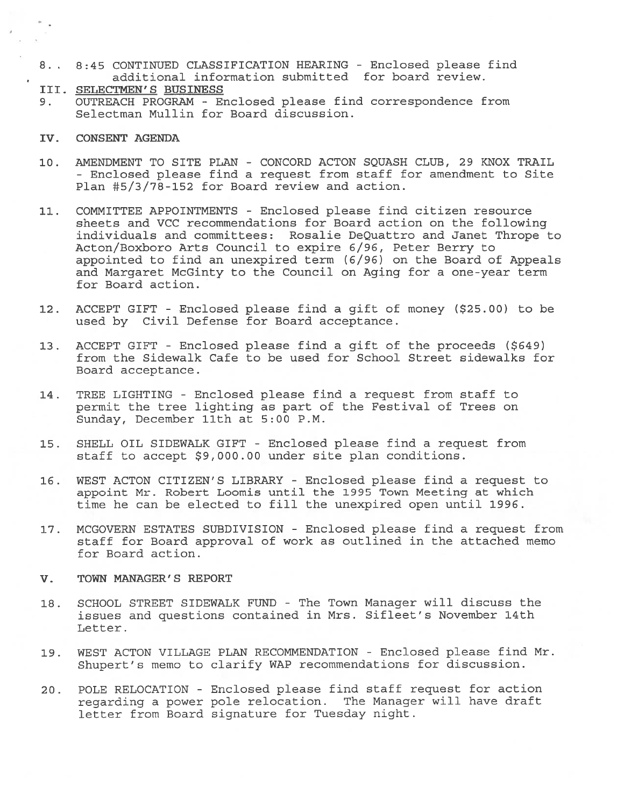- 8. 8:45 CONTINUED CLASSIFICATION HEARING -Enclosed please find additional information submitted for board review.
- III. SELECTMEN'S BUSINESS
- 9. OUTREACH PROGRAM Enclosed please find correspondence from Selectman Mullin for Board discussion.
- IV. CONSENT AGENDA
- 10. AMENDMENT TO SITE PLAN CONCORD ACTON SQUASH CLUB, 29 KNOX TRAIL - Enclosed please find <sup>a</sup> reques<sup>t</sup> from staff for amendment to Site Plan 45/3/78-152 for Board review and action.
- 11. COMMITTEE APPOINTMENTS Enclosed please find citizen resource sheets and VCC recommendations for Board action on the following individuals and committees: Rosalie DeQuattro and Janet Thrope to Acton/Boxboro Arts Council to expire 6/96, Peter Berry to appointed to find an unexpired term (6/96) on the Board of Appeals and Margaret McGinty to the Council on Aging for <sup>a</sup> one-year term for Board action.
- 12. ACCEPT GIFT Enclosed <sup>p</sup>lease find <sup>a</sup> <sup>g</sup>ift of money (\$25.00) to be used by Civil Defense for Board acceptance.
- 13. ACCEPT GIFT -Enclosed please find <sup>a</sup> gift of the proceeds (\$649) from the Sidewalk Cafe to be used for School Street sidewalks for Board acceptance.
- 14. TREE LIGHTING Enclosed please find <sup>a</sup> reques<sup>t</sup> from staff to permit the tree lighting as par<sup>t</sup> of the Festival of Trees on Sunday, December 11th at 5:00 P.M.
- 15. SHELL OIL SIDEWALK GIFT Enclosed please find <sup>a</sup> reques<sup>t</sup> from staff to accep<sup>t</sup> \$9,000.00 under site plan conditions.
- 16. WEST ACTON CITIZEN'S LIBRARY -Enclosed please find <sup>a</sup> reques<sup>t</sup> to appoint Mr. Robert Loomis until the 1995 Town Meeting at which time he can be elected to fill the unexpired open until 1996.
- 17. MCGOVERN ESTATES SUBDIVISION Enclosed please find <sup>a</sup> reques<sup>t</sup> from staff for Board approval of work as outlined in the attached memo for Board action.
- V. TOWN MANAGER' S REPORT
- 18. SCHOOL STREET SIDEWALK FUND The Town Manager will discuss the issues and questions contained in Mrs. Sifleet's November 14th Letter.
- 19. WEST ACTON VILLAGE PLAN RECOMMENDATION Enclosed please find Mr. Shupert's memo to clarify WAP recommendations for discussion.
- 20. POLE RELOCATION Enclosed please find staff reques<sup>t</sup> for action regarding <sup>a</sup> power pole relocation. The Manager will have draft letter from Board signature for Tuesday night.